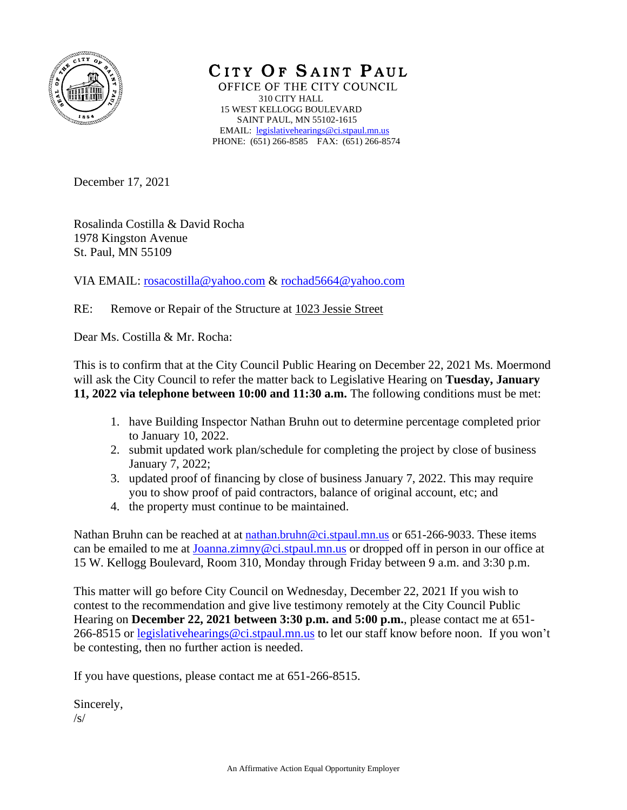

CITY OF SAINT PAUL OFFICE OF THE CITY COUNCIL 310 CITY HALL 15 WEST KELLOGG BOULEVARD SAINT PAUL, MN 55102-1615 EMAIL: [legislativehearings@ci.stpaul.mn.us](mailto:legislativehearings@ci.stpaul.mn.us) PHONE: (651) 266-8585 FAX: (651) 266-8574

December 17, 2021

Rosalinda Costilla & David Rocha 1978 Kingston Avenue St. Paul, MN 55109

VIA EMAIL: [rosacostilla@yahoo.com](mailto:rosacostilla@yahoo.com) & [rochad5664@yahoo.com](mailto:rochad5664@yahoo.com)

RE: Remove or Repair of the Structure at 1023 Jessie Street

Dear Ms. Costilla & Mr. Rocha:

This is to confirm that at the City Council Public Hearing on December 22, 2021 Ms. Moermond will ask the City Council to refer the matter back to Legislative Hearing on **Tuesday, January 11, 2022 via telephone between 10:00 and 11:30 a.m.** The following conditions must be met:

- 1. have Building Inspector Nathan Bruhn out to determine percentage completed prior to January 10, 2022.
- 2. submit updated work plan/schedule for completing the project by close of business January 7, 2022;
- 3. updated proof of financing by close of business January 7, 2022. This may require you to show proof of paid contractors, balance of original account, etc; and
- 4. the property must continue to be maintained.

Nathan Bruhn can be reached at at [nathan.bruhn@ci.stpaul.mn.us](mailto:nathan.bruhn@ci.stpaul.mn.us) or 651-266-9033. These items can be emailed to me at [Joanna.zimny@ci.stpaul.mn.us](mailto:Joanna.zimny@ci.stpaul.mn.us) or dropped off in person in our office at 15 W. Kellogg Boulevard, Room 310, Monday through Friday between 9 a.m. and 3:30 p.m.

This matter will go before City Council on Wednesday, December 22, 2021 If you wish to contest to the recommendation and give live testimony remotely at the City Council Public Hearing on **December 22, 2021 between 3:30 p.m. and 5:00 p.m.**, please contact me at 651- 266-8515 or [legislativehearings@ci.stpaul.mn.us](mailto:legislativehearings@ci.stpaul.mn.us) to let our staff know before noon. If you won't be contesting, then no further action is needed.

If you have questions, please contact me at 651-266-8515.

Sincerely,  $\sqrt{s/}$